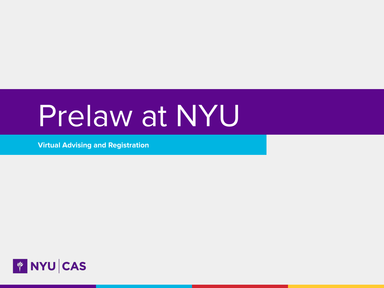# Prelaw at NYU

**Virtual Advising and Registration**

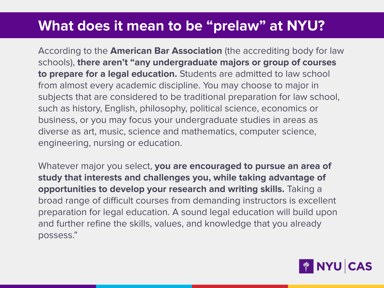### **What does it mean to be "prelaw" at NYU?**

According to the **American Bar Association** (the accrediting body for law schools), **there aren't "any undergraduate majors or group of courses to prepare for a legal education.** Students are admitted to law school from almost every academic discipline. You may choose to major in subjects that are considered to be traditional preparation for law school, such as history, English, philosophy, political science, economics or business, or you may focus your undergraduate studies in areas as diverse as art, music, science and mathematics, computer science, engineering, nursing or education.

Whatever major you select, **you are encouraged to pursue an area of study that interests and challenges you, while taking advantage of opportunities to develop your research and writing skills.** Taking a broad range of difficult courses from demanding instructors is excellent preparation for legal education. A sound legal education will build upon and further refine the skills, values, and knowledge that you already possess."

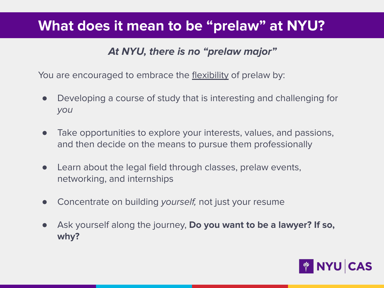### **What does it mean to be "prelaw" at NYU?**

### **At NYU, there is no "prelaw major"**

You are encouraged to embrace the flexibility of prelaw by:

- Developing a course of study that is interesting and challenging for you
- Take opportunities to explore your interests, values, and passions, and then decide on the means to pursue them professionally
- Learn about the legal field through classes, prelaw events, networking, and internships
- Concentrate on building yourself, not just your resume
- Ask yourself along the journey, **Do you want to be a lawyer? If so, why?**

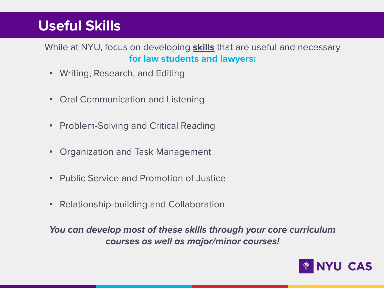### **Useful Skills**

While at NYU, focus on developing **skills** that are useful and necessary **for law students and lawyers:**

- Writing, Research, and Editing
- Oral Communication and Listening
- Problem-Solving and Critical Reading
- Organization and Task Management
- Public Service and Promotion of Justice
- Relationship-building and Collaboration

**You can develop most of these skills through your core curriculum courses as well as major/minor courses!** 

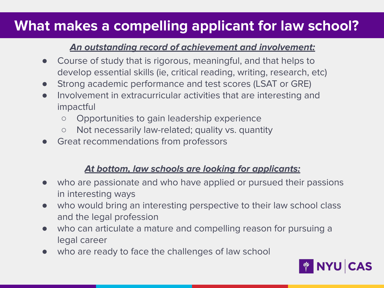### **What makes a compelling applicant for law school?**

#### **An outstanding record of achievement and involvement:**

- Course of study that is rigorous, meaningful, and that helps to develop essential skills (ie, critical reading, writing, research, etc)
- Strong academic performance and test scores (LSAT or GRE)
- Involvement in extracurricular activities that are interesting and impactful
	- Opportunities to gain leadership experience
	- Not necessarily law-related; quality vs. quantity
- Great recommendations from professors

#### **At bottom, law schools are looking for applicants:**

- who are passionate and who have applied or pursued their passions in interesting ways
- who would bring an interesting perspective to their law school class and the legal profession
- who can articulate a mature and compelling reason for pursuing a legal career
- who are ready to face the challenges of law school

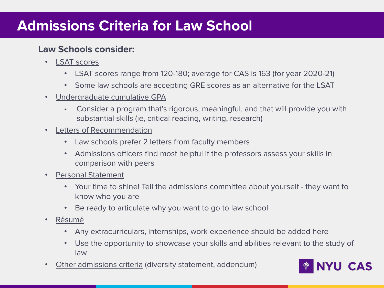### **Admissions Criteria for Law School**

#### **Law Schools consider:**

- **LSAT scores** 
	- LSAT scores range from 120-180; average for CAS is 163 (for year 2020-21)
	- Some law schools are accepting GRE scores as an alternative for the LSAT
- Undergraduate cumulative GPA
	- Consider a program that's rigorous, meaningful, and that will provide you with substantial skills (ie, critical reading, writing, research)
- Letters of Recommendation
	- Law schools prefer 2 letters from faculty members
	- Admissions officers find most helpful if the professors assess your skills in comparison with peers
- Personal Statement
	- Your time to shine! Tell the admissions committee about yourself they want to know who you are
	- Be ready to articulate why you want to go to law school
- Résumé
	- Any extracurriculars, internships, work experience should be added here
	- Use the opportunity to showcase your skills and abilities relevant to the study of law
- Other admissions criteria (diversity statement, addendum)

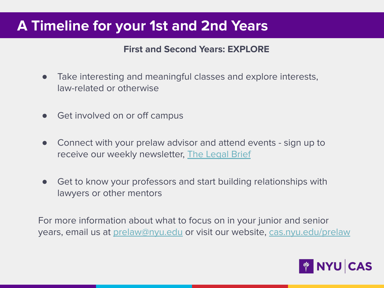### **A Timeline for your 1st and 2nd Years**

#### **First and Second Years: EXPLORE**

- Take interesting and meaningful classes and explore interests, law-related or otherwise
- Get involved on or off campus
- Connect with your prelaw advisor and attend events sign up to receive our weekly newsletter, [The Legal Brief](https://cas.nyu.edu/prelaw/join-the-prelaw-listserv.html)
- Get to know your professors and start building relationships with lawyers or other mentors

For more information about what to focus on in your junior and senior years, email us at [prelaw@nyu.edu](mailto:prelaw@nyu.edu) or visit our website, [cas.nyu.edu/prelaw](https://cas.nyu.edu/content/nyu-as/cas/prelaw.html)

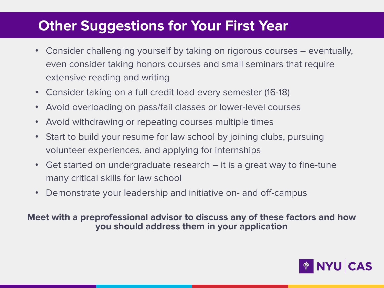### **Other Suggestions for Your First Year**

- Consider challenging yourself by taking on rigorous courses eventually, even consider taking honors courses and small seminars that require extensive reading and writing
- Consider taking on a full credit load every semester (16-18)
- Avoid overloading on pass/fail classes or lower-level courses
- Avoid withdrawing or repeating courses multiple times
- Start to build your resume for law school by joining clubs, pursuing volunteer experiences, and applying for internships
- Get started on undergraduate research it is a great way to fine-tune many critical skills for law school
- Demonstrate your leadership and initiative on- and off-campus

**Meet with a preprofessional advisor to discuss any of these factors and how you should address them in your application**

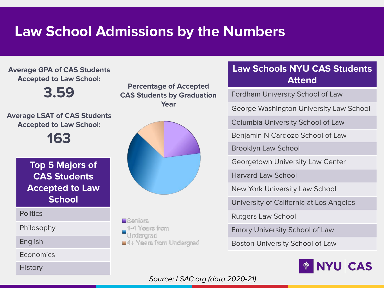## **Law School Admissions by the Numbers**

**Average GPA of CAS Students Accepted to Law School:**

**3.59**

**Average LSAT of CAS Students Accepted to Law School:**

**163**

**Top 5 Majors of CAS Students Accepted to Law School**

**Politics** 

Philosophy

English

**Economics** 

**History** 

**Percentage of Accepted CAS Students by Graduation Year**



**E** Seniors 1-4 Years from Underarad **E4+ Years from Undergrad** 

#### **Law Schools NYU CAS Students Attend**

Fordham University School of Law

George Washington University Law School

Columbia University School of Law

Benjamin N Cardozo School of Law

Brooklyn Law School

Georgetown University Law Center

Harvard Law School

New York University Law School

University of California at Los Angeles

Rutgers Law School

Emory University School of Law

Boston University School of Law



Source: LSAC.org (data 2020-21)